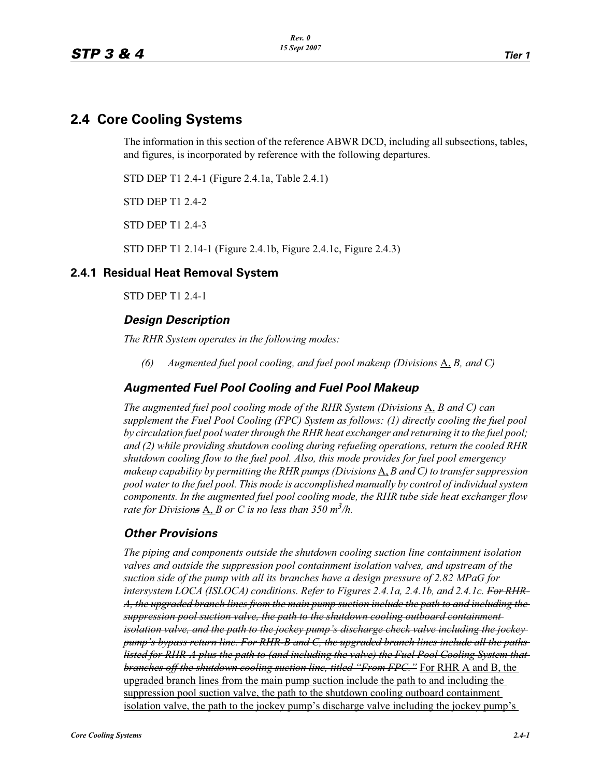# **2.4 Core Cooling Systems**

The information in this section of the reference ABWR DCD, including all subsections, tables, and figures, is incorporated by reference with the following departures.

STD DEP T1 2.4-1 (Figure 2.4.1a, Table 2.4.1)

STD DEP T1 2.4-2

STD DEP T1 2.4-3

STD DEP T1 2.14-1 (Figure 2.4.1b, Figure 2.4.1c, Figure 2.4.3)

#### **2.4.1 Residual Heat Removal System**

STD DEP T1 2.4-1

#### *Design Description*

*The RHR System operates in the following modes:*

*(6) Augmented fuel pool cooling, and fuel pool makeup (Divisions* A, *B, and C)*

### *Augmented Fuel Pool Cooling and Fuel Pool Makeup*

*The augmented fuel pool cooling mode of the RHR System (Divisions*  $\overline{A}$ *, B and C) can supplement the Fuel Pool Cooling (FPC) System as follows: (1) directly cooling the fuel pool by circulation fuel pool water through the RHR heat exchanger and returning it to the fuel pool; and (2) while providing shutdown cooling during refueling operations, return the cooled RHR shutdown cooling flow to the fuel pool. Also, this mode provides for fuel pool emergency makeup capability by permitting the RHR pumps (Divisions* A, *B and C) to transfer suppression pool water to the fuel pool. This mode is accomplished manually by control of individual system components. In the augmented fuel pool cooling mode, the RHR tube side heat exchanger flow*  rate for Division<del>s</del>  $\underline{A}$ ,  $\underline{B}$  or C is no less than 350 m<sup>3</sup>/h.

## *Other Provisions*

*The piping and components outside the shutdown cooling suction line containment isolation valves and outside the suppression pool containment isolation valves, and upstream of the suction side of the pump with all its branches have a design pressure of 2.82 MPaG for intersystem LOCA (ISLOCA) conditions. Refer to Figures 2.4.1a, 2.4.1b, and 2.4.1c. For RHR-A, the upgraded branch lines from the main pump suction include the path to and including the suppression pool suction valve, the path to the shutdown cooling outboard containment isolation valve, and the path to the jockey pump's discharge check valve including the jockey pump's bypass return line. For RHR-B and C, the upgraded branch lines include all the paths listed for RHR-A plus the path to (and including the valve) the Fuel Pool Cooling System that branches off the shutdown cooling suction line, titled "From FPC."* For RHR A and B, the upgraded branch lines from the main pump suction include the path to and including the suppression pool suction valve, the path to the shutdown cooling outboard containment isolation valve, the path to the jockey pump's discharge valve including the jockey pump's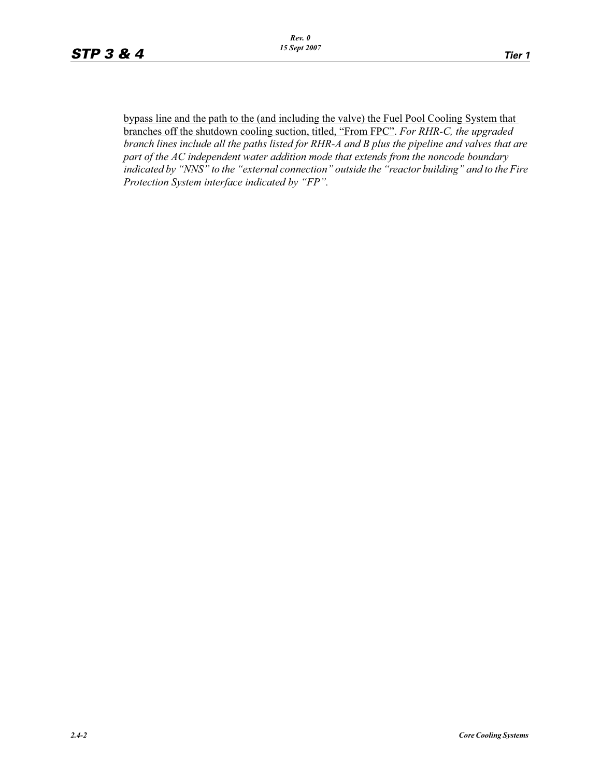bypass line and the path to the (and including the valve) the Fuel Pool Cooling System that branches off the shutdown cooling suction, titled, "From FPC". *For RHR-C, the upgraded branch lines include all the paths listed for RHR-A and B plus the pipeline and valves that are part of the AC independent water addition mode that extends from the noncode boundary indicated by "NNS" to the "external connection" outside the "reactor building" and to the Fire Protection System interface indicated by "FP".*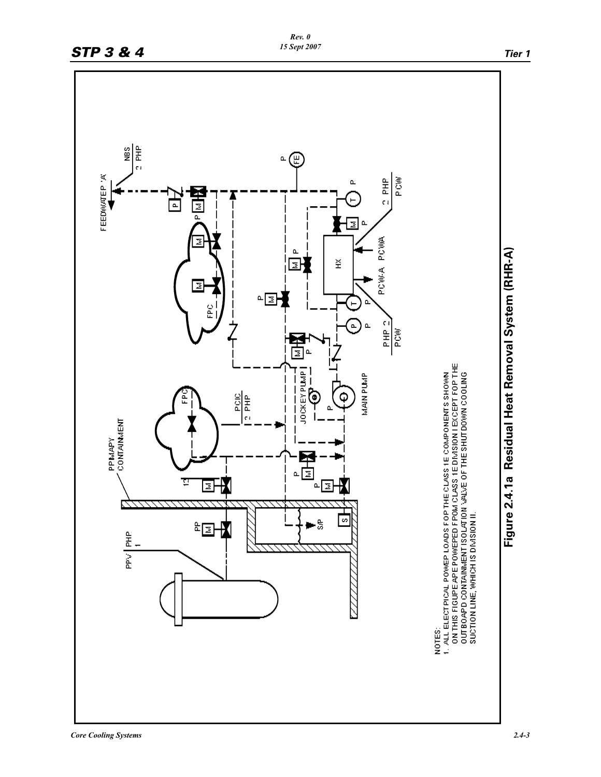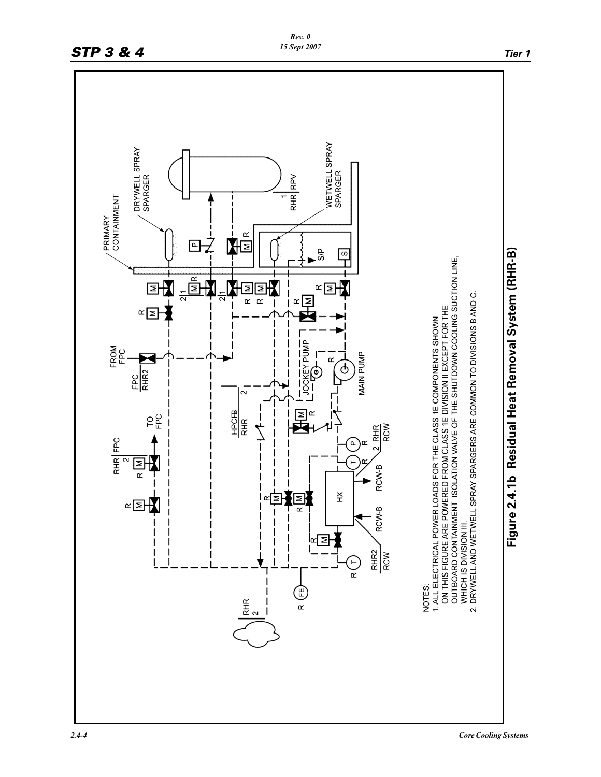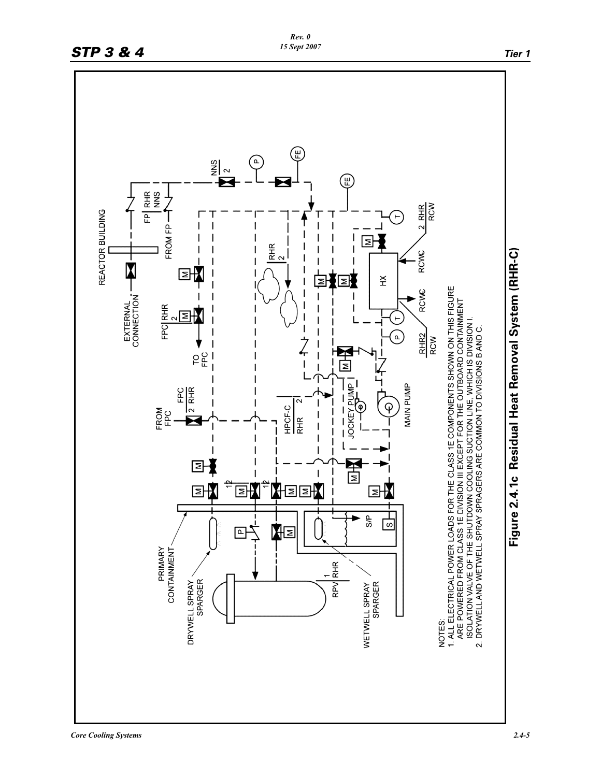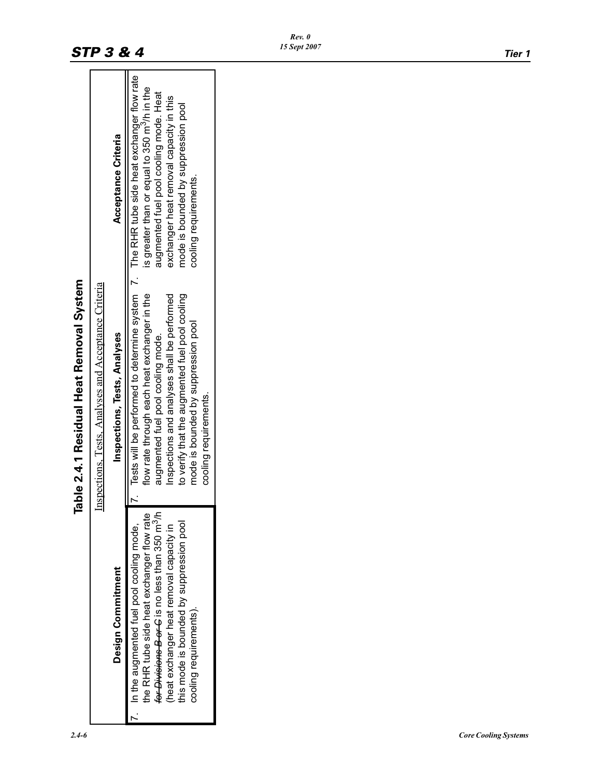|                                                                                                                                                                                                                                                                                 | <b>Table 2.4.1 Residual Heat Removal System</b>                                                                                                                                                                                                                                                                                                |                                                                                                                                                                                                               |
|---------------------------------------------------------------------------------------------------------------------------------------------------------------------------------------------------------------------------------------------------------------------------------|------------------------------------------------------------------------------------------------------------------------------------------------------------------------------------------------------------------------------------------------------------------------------------------------------------------------------------------------|---------------------------------------------------------------------------------------------------------------------------------------------------------------------------------------------------------------|
|                                                                                                                                                                                                                                                                                 | Inspections, Tests, Analyses and Acceptance Criteria                                                                                                                                                                                                                                                                                           |                                                                                                                                                                                                               |
| Design Commitment                                                                                                                                                                                                                                                               | Inspections, Tests, Analyses                                                                                                                                                                                                                                                                                                                   | Acceptance Criteria                                                                                                                                                                                           |
| <del>for Divisions B or C</del> is no less than 350 m <sup>3</sup> /h<br>the RHR tube side heat exchanger flow rate<br>his mode is bounded by suppression pool<br>heat exchanger heat removal capacity in<br>In the augmented fuel pool cooling mode,<br>cooling requirements). | Tests will be performed to determine system 7. The RHR tube side heat exchanger flow rate<br>flow rate through each heat exchanger in the<br>to verify that the augmented fuel pool cooling<br>Inspections and analyses shall be performed<br>mode is bounded by suppression pool<br>augmented fuel pool cooling mode.<br>cooling requirements | is greater than or equal to 350 m <sup>3</sup> /h in the<br>augmented fuel pool cooling mode. Heat<br>exchanger heat removal capacity in this<br>mode is bounded by suppression pool<br>cooling requirements. |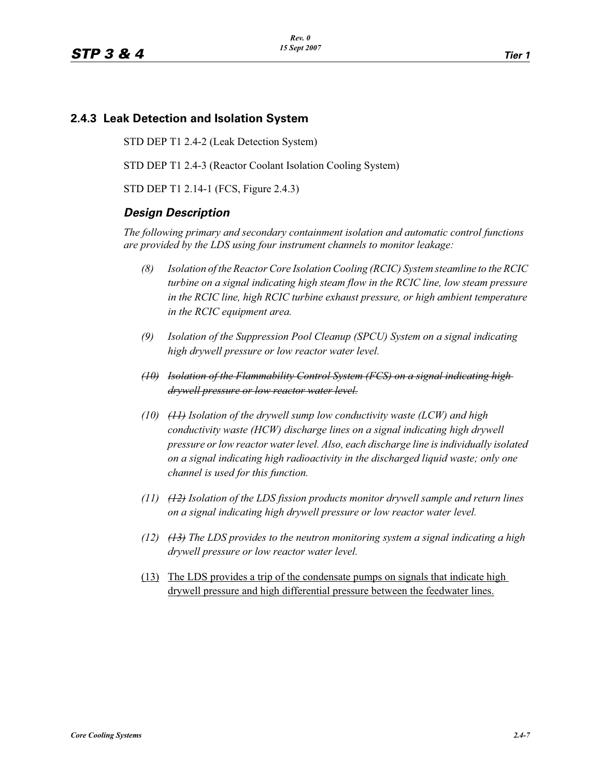## **2.4.3 Leak Detection and Isolation System**

STD DEP T1 2.4-2 (Leak Detection System)

STD DEP T1 2.4-3 (Reactor Coolant Isolation Cooling System)

STD DEP T1 2.14-1 (FCS, Figure 2.4.3)

#### *Design Description*

*The following primary and secondary containment isolation and automatic control functions are provided by the LDS using four instrument channels to monitor leakage:*

- *(8) Isolation of the Reactor Core Isolation Cooling (RCIC) System steamline to the RCIC turbine on a signal indicating high steam flow in the RCIC line, low steam pressure in the RCIC line, high RCIC turbine exhaust pressure, or high ambient temperature in the RCIC equipment area.*
- *(9) Isolation of the Suppression Pool Cleanup (SPCU) System on a signal indicating high drywell pressure or low reactor water level.*
- *(10) Isolation of the Flammability Control System (FCS) on a signal indicating high drywell pressure or low reactor water level.*
- *(10) (11) Isolation of the drywell sump low conductivity waste (LCW) and high conductivity waste (HCW) discharge lines on a signal indicating high drywell pressure or low reactor water level. Also, each discharge line is individually isolated on a signal indicating high radioactivity in the discharged liquid waste; only one channel is used for this function.*
- *(11) (12) Isolation of the LDS fission products monitor drywell sample and return lines on a signal indicating high drywell pressure or low reactor water level.*
- *(12) (13) The LDS provides to the neutron monitoring system a signal indicating a high drywell pressure or low reactor water level.*
- (13) The LDS provides a trip of the condensate pumps on signals that indicate high drywell pressure and high differential pressure between the feedwater lines.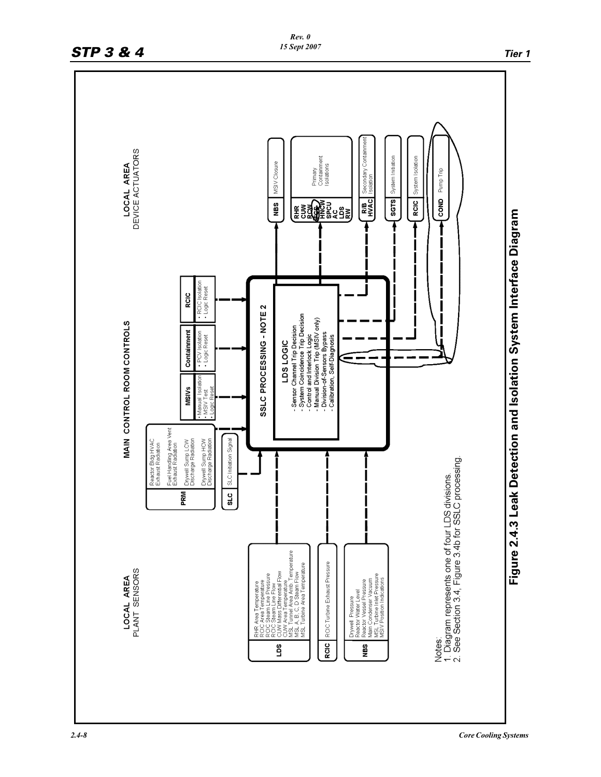